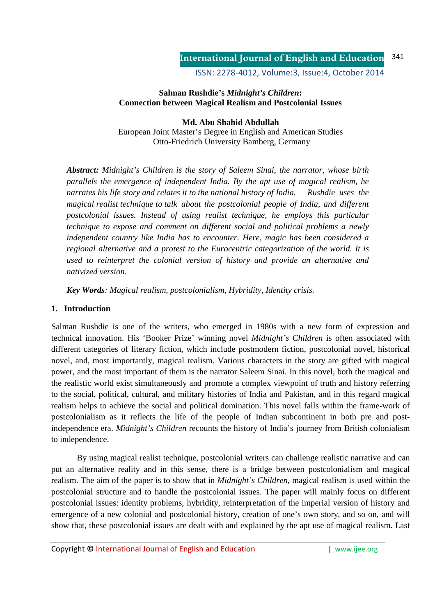ISSN: 2278-4012, Volume:3, Issue:4, October 2014

# **Salman Rushdie's** *Midnight's Children***: Connection between Magical Realism and Postcolonial Issues**

**Md. Abu Shahid Abdullah**  European Joint Master's Degree in English and American Studies Otto-Friedrich University Bamberg, Germany

*Abstract: Midnight's Children is the story of Saleem Sinai, the narrator, whose birth parallels the emergence of independent India. By the apt use of magical realism, he narrates his life story and relates it to the national history of India. Rushdie uses the magical realist technique to talk about the postcolonial people of India, and different postcolonial issues. Instead of using realist technique, he employs this particular technique to expose and comment on different social and political problems a newly independent country like India has to encounter. Here, magic has been considered a regional alternative and a protest to the Eurocentric categorization of the world. It is used to reinterpret the colonial version of history and provide an alternative and nativized version.* 

*Key Words: Magical realism, postcolonialism, Hybridity, Identity crisis.* 

# **1. Introduction**

Salman Rushdie is one of the writers, who emerged in 1980s with a new form of expression and technical innovation. His 'Booker Prize' winning novel *Midnight's Children* is often associated with different categories of literary fiction, which include postmodern fiction, postcolonial novel, historical novel, and, most importantly, magical realism. Various characters in the story are gifted with magical power, and the most important of them is the narrator Saleem Sinai. In this novel, both the magical and the realistic world exist simultaneously and promote a complex viewpoint of truth and history referring to the social, political, cultural, and military histories of India and Pakistan, and in this regard magical realism helps to achieve the social and political domination. This novel falls within the frame-work of postcolonialism as it reflects the life of the people of Indian subcontinent in both pre and postindependence era. *Midnight's Children* recounts the history of India's journey from British colonialism to independence.

By using magical realist technique, postcolonial writers can challenge realistic narrative and can put an alternative reality and in this sense, there is a bridge between postcolonialism and magical realism. The aim of the paper is to show that in *Midnight's Children*, magical realism is used within the postcolonial structure and to handle the postcolonial issues. The paper will mainly focus on different postcolonial issues: identity problems, hybridity, reinterpretation of the imperial version of history and emergence of a new colonial and postcolonial history, creation of one's own story, and so on, and will show that, these postcolonial issues are dealt with and explained by the apt use of magical realism. Last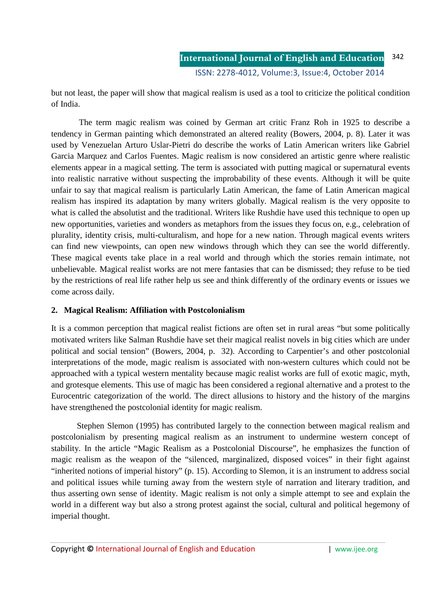but not least, the paper will show that magical realism is used as a tool to criticize the political condition of India.

 The term magic realism was coined by German art critic Franz Roh in 1925 to describe a tendency in German painting which demonstrated an altered reality (Bowers, 2004, p. 8). Later it was used by Venezuelan Arturo Uslar-Pietri do describe the works of Latin American writers like Gabriel Garcia Marquez and Carlos Fuentes. Magic realism is now considered an artistic genre where realistic elements appear in a magical setting. The term is associated with putting magical or supernatural events into realistic narrative without suspecting the improbability of these events. Although it will be quite unfair to say that magical realism is particularly Latin American, the fame of Latin American magical realism has inspired its adaptation by many writers globally. Magical realism is the very opposite to what is called the absolutist and the traditional. Writers like Rushdie have used this technique to open up new opportunities, varieties and wonders as metaphors from the issues they focus on, e.g., celebration of plurality, identity crisis, multi-culturalism, and hope for a new nation. Through magical events writers can find new viewpoints, can open new windows through which they can see the world differently. These magical events take place in a real world and through which the stories remain intimate, not unbelievable. Magical realist works are not mere fantasies that can be dismissed; they refuse to be tied by the restrictions of real life rather help us see and think differently of the ordinary events or issues we come across daily.

# **2. Magical Realism: Affiliation with Postcolonialism**

It is a common perception that magical realist fictions are often set in rural areas "but some politically motivated writers like Salman Rushdie have set their magical realist novels in big cities which are under political and social tension" (Bowers, 2004, p. 32). According to Carpentier's and other postcolonial interpretations of the mode, magic realism is associated with non-western cultures which could not be approached with a typical western mentality because magic realist works are full of exotic magic, myth, and grotesque elements. This use of magic has been considered a regional alternative and a protest to the Eurocentric categorization of the world. The direct allusions to history and the history of the margins have strengthened the postcolonial identity for magic realism.

 Stephen Slemon (1995) has contributed largely to the connection between magical realism and postcolonialism by presenting magical realism as an instrument to undermine western concept of stability. In the article "Magic Realism as a Postcolonial Discourse", he emphasizes the function of magic realism as the weapon of the "silenced, marginalized, disposed voices" in their fight against "inherited notions of imperial history" (p. 15). According to Slemon, it is an instrument to address social and political issues while turning away from the western style of narration and literary tradition, and thus asserting own sense of identity. Magic realism is not only a simple attempt to see and explain the world in a different way but also a strong protest against the social, cultural and political hegemony of imperial thought.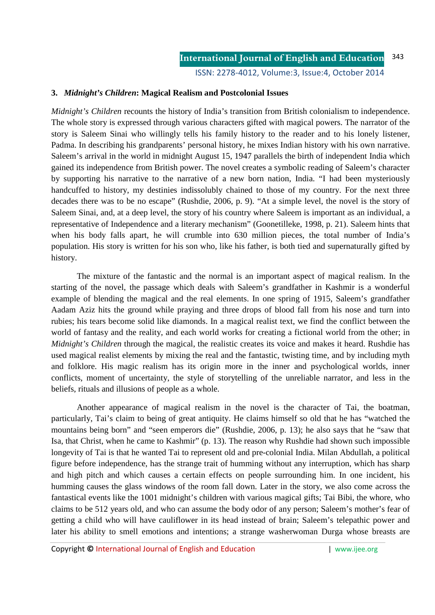## **3.** *Midnight's Children***: Magical Realism and Postcolonial Issues**

*Midnight's Children* recounts the history of India's transition from British colonialism to independence. The whole story is expressed through various characters gifted with magical powers. The narrator of the story is Saleem Sinai who willingly tells his family history to the reader and to his lonely listener, Padma. In describing his grandparents' personal history, he mixes Indian history with his own narrative. Saleem's arrival in the world in midnight August 15, 1947 parallels the birth of independent India which gained its independence from British power. The novel creates a symbolic reading of Saleem's character by supporting his narrative to the narrative of a new born nation, India. "I had been mysteriously handcuffed to history, my destinies indissolubly chained to those of my country. For the next three decades there was to be no escape" (Rushdie, 2006, p. 9). "At a simple level, the novel is the story of Saleem Sinai, and, at a deep level, the story of his country where Saleem is important as an individual, a representative of Independence and a literary mechanism" (Goonetilleke, 1998, p. 21). Saleem hints that when his body falls apart, he will crumble into 630 million pieces, the total number of India's population. His story is written for his son who, like his father, is both tied and supernaturally gifted by history.

 The mixture of the fantastic and the normal is an important aspect of magical realism. In the starting of the novel, the passage which deals with Saleem's grandfather in Kashmir is a wonderful example of blending the magical and the real elements. In one spring of 1915, Saleem's grandfather Aadam Aziz hits the ground while praying and three drops of blood fall from his nose and turn into rubies; his tears become solid like diamonds. In a magical realist text, we find the conflict between the world of fantasy and the reality, and each world works for creating a fictional world from the other; in *Midnight's Children* through the magical, the realistic creates its voice and makes it heard. Rushdie has used magical realist elements by mixing the real and the fantastic, twisting time, and by including myth and folklore. His magic realism has its origin more in the inner and psychological worlds, inner conflicts, moment of uncertainty, the style of storytelling of the unreliable narrator, and less in the beliefs, rituals and illusions of people as a whole.

Another appearance of magical realism in the novel is the character of Tai, the boatman, particularly, Tai's claim to being of great antiquity. He claims himself so old that he has "watched the mountains being born" and "seen emperors die" (Rushdie, 2006, p. 13); he also says that he "saw that Isa, that Christ, when he came to Kashmir" (p. 13). The reason why Rushdie had shown such impossible longevity of Tai is that he wanted Tai to represent old and pre-colonial India. Milan Abdullah, a political figure before independence, has the strange trait of humming without any interruption, which has sharp and high pitch and which causes a certain effects on people surrounding him. In one incident, his humming causes the glass windows of the room fall down. Later in the story, we also come across the fantastical events like the 1001 midnight's children with various magical gifts; Tai Bibi, the whore, who claims to be 512 years old, and who can assume the body odor of any person; Saleem's mother's fear of getting a child who will have cauliflower in its head instead of brain; Saleem's telepathic power and later his ability to smell emotions and intentions; a strange washerwoman Durga whose breasts are

Copyright **©** International Journal of English and Education | www.ijee.org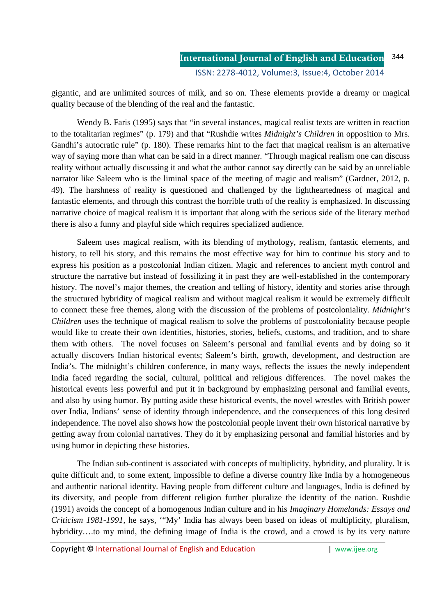gigantic, and are unlimited sources of milk, and so on. These elements provide a dreamy or magical quality because of the blending of the real and the fantastic.

Wendy B. Faris (1995) says that "in several instances, magical realist texts are written in reaction to the totalitarian regimes" (p. 179) and that "Rushdie writes *Midnight's Children* in opposition to Mrs. Gandhi's autocratic rule" (p. 180). These remarks hint to the fact that magical realism is an alternative way of saying more than what can be said in a direct manner. "Through magical realism one can discuss reality without actually discussing it and what the author cannot say directly can be said by an unreliable narrator like Saleem who is the liminal space of the meeting of magic and realism" (Gardner, 2012, p. 49). The harshness of reality is questioned and challenged by the lightheartedness of magical and fantastic elements, and through this contrast the horrible truth of the reality is emphasized. In discussing narrative choice of magical realism it is important that along with the serious side of the literary method there is also a funny and playful side which requires specialized audience.

 Saleem uses magical realism, with its blending of mythology, realism, fantastic elements, and history, to tell his story, and this remains the most effective way for him to continue his story and to express his position as a postcolonial Indian citizen. Magic and references to ancient myth control and structure the narrative but instead of fossilizing it in past they are well-established in the contemporary history. The novel's major themes, the creation and telling of history, identity and stories arise through the structured hybridity of magical realism and without magical realism it would be extremely difficult to connect these free themes, along with the discussion of the problems of postcoloniality. *Midnight's Children* uses the technique of magical realism to solve the problems of postcoloniality because people would like to create their own identities, histories, stories, beliefs, customs, and tradition, and to share them with others. The novel focuses on Saleem's personal and familial events and by doing so it actually discovers Indian historical events; Saleem's birth, growth, development, and destruction are India's. The midnight's children conference, in many ways, reflects the issues the newly independent India faced regarding the social, cultural, political and religious differences. The novel makes the historical events less powerful and put it in background by emphasizing personal and familial events, and also by using humor. By putting aside these historical events, the novel wrestles with British power over India, Indians' sense of identity through independence, and the consequences of this long desired independence. The novel also shows how the postcolonial people invent their own historical narrative by getting away from colonial narratives. They do it by emphasizing personal and familial histories and by using humor in depicting these histories.

 The Indian sub-continent is associated with concepts of multiplicity, hybridity, and plurality. It is quite difficult and, to some extent, impossible to define a diverse country like India by a homogeneous and authentic national identity. Having people from different culture and languages, India is defined by its diversity, and people from different religion further pluralize the identity of the nation. Rushdie (1991) avoids the concept of a homogenous Indian culture and in his *Imaginary Homelands: Essays and Criticism 1981-1991,* he says, '"My' India has always been based on ideas of multiplicity, pluralism, hybridity....to my mind, the defining image of India is the crowd, and a crowd is by its very nature

Copyright **©** International Journal of English and Education | www.ijee.org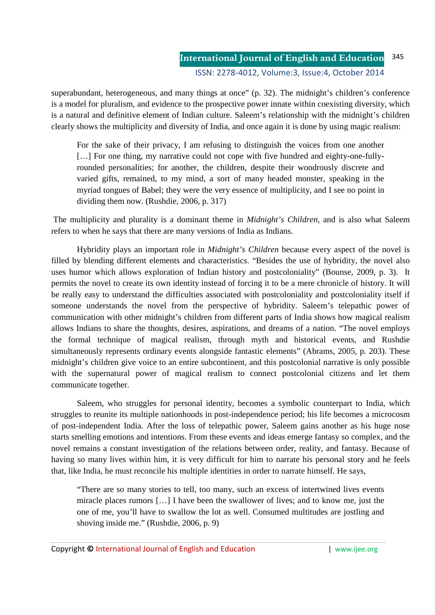superabundant, heterogeneous, and many things at once" (p. 32). The midnight's children's conference is a model for pluralism, and evidence to the prospective power innate within coexisting diversity, which is a natural and definitive element of Indian culture. Saleem's relationship with the midnight's children clearly shows the multiplicity and diversity of India, and once again it is done by using magic realism:

For the sake of their privacy, I am refusing to distinguish the voices from one another [...] For one thing, my narrative could not cope with five hundred and eighty-one-fullyrounded personalities; for another, the children, despite their wondrously discrete and varied gifts, remained, to my mind, a sort of many headed monster, speaking in the myriad tongues of Babel; they were the very essence of multiplicity, and I see no point in dividing them now. (Rushdie, 2006, p. 317)

 The multiplicity and plurality is a dominant theme in *Midnight's Children,* and is also what Saleem refers to when he says that there are many versions of India as Indians.

Hybridity plays an important role in *Midnight's Children* because every aspect of the novel is filled by blending different elements and characteristics. "Besides the use of hybridity, the novel also uses humor which allows exploration of Indian history and postcoloniality" (Bounse, 2009, p. 3). It permits the novel to create its own identity instead of forcing it to be a mere chronicle of history. It will be really easy to understand the difficulties associated with postcoloniality and postcoloniality itself if someone understands the novel from the perspective of hybridity. Saleem's telepathic power of communication with other midnight's children from different parts of India shows how magical realism allows Indians to share the thoughts, desires, aspirations, and dreams of a nation. "The novel employs the formal technique of magical realism, through myth and historical events, and Rushdie simultaneously represents ordinary events alongside fantastic elements" (Abrams, 2005, p. 203). These midnight's children give voice to an entire subcontinent, and this postcolonial narrative is only possible with the supernatural power of magical realism to connect postcolonial citizens and let them communicate together.

Saleem, who struggles for personal identity, becomes a symbolic counterpart to India, which struggles to reunite its multiple nationhoods in post-independence period; his life becomes a microcosm of post-independent India. After the loss of telepathic power, Saleem gains another as his huge nose starts smelling emotions and intentions. From these events and ideas emerge fantasy so complex, and the novel remains a constant investigation of the relations between order, reality, and fantasy. Because of having so many lives within him, it is very difficult for him to narrate his personal story and he feels that, like India, he must reconcile his multiple identities in order to narrate himself. He says,

"There are so many stories to tell, too many, such an excess of intertwined lives events miracle places rumors […] I have been the swallower of lives; and to know me, just the one of me, you'll have to swallow the lot as well. Consumed multitudes are jostling and shoving inside me." (Rushdie, 2006, p. 9)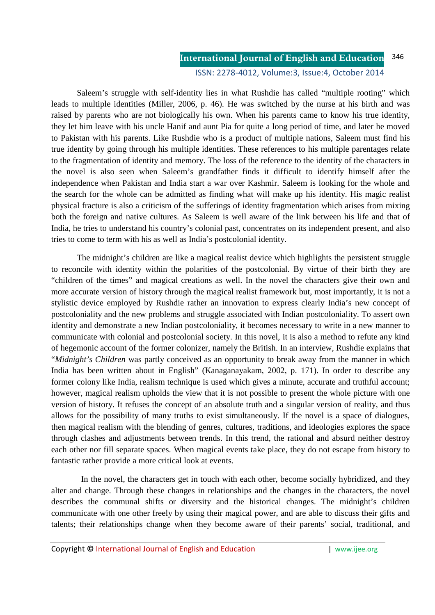#### **International Journal of English and Education** ISSN: 2278-4012, Volume:3, Issue:4, October 2014 346

Saleem's struggle with self-identity lies in what Rushdie has called "multiple rooting" which leads to multiple identities (Miller, 2006, p. 46). He was switched by the nurse at his birth and was raised by parents who are not biologically his own. When his parents came to know his true identity, they let him leave with his uncle Hanif and aunt Pia for quite a long period of time, and later he moved to Pakistan with his parents. Like Rushdie who is a product of multiple nations, Saleem must find his true identity by going through his multiple identities. These references to his multiple parentages relate to the fragmentation of identity and memory. The loss of the reference to the identity of the characters in the novel is also seen when Saleem's grandfather finds it difficult to identify himself after the independence when Pakistan and India start a war over Kashmir. Saleem is looking for the whole and the search for the whole can be admitted as finding what will make up his identity. His magic realist physical fracture is also a criticism of the sufferings of identity fragmentation which arises from mixing both the foreign and native cultures. As Saleem is well aware of the link between his life and that of India, he tries to understand his country's colonial past, concentrates on its independent present, and also tries to come to term with his as well as India's postcolonial identity.

The midnight's children are like a magical realist device which highlights the persistent struggle to reconcile with identity within the polarities of the postcolonial. By virtue of their birth they are "children of the times" and magical creations as well. In the novel the characters give their own and more accurate version of history through the magical realist framework but, most importantly, it is not a stylistic device employed by Rushdie rather an innovation to express clearly India's new concept of postcoloniality and the new problems and struggle associated with Indian postcoloniality. To assert own identity and demonstrate a new Indian postcoloniality, it becomes necessary to write in a new manner to communicate with colonial and postcolonial society. In this novel, it is also a method to refute any kind of hegemonic account of the former colonizer, namely the British. In an interview, Rushdie explains that "*Midnight's Children* was partly conceived as an opportunity to break away from the manner in which India has been written about in English" (Kanaganayakam, 2002, p. 171). In order to describe any former colony like India, realism technique is used which gives a minute, accurate and truthful account; however, magical realism upholds the view that it is not possible to present the whole picture with one version of history. It refuses the concept of an absolute truth and a singular version of reality, and thus allows for the possibility of many truths to exist simultaneously. If the novel is a space of dialogues, then magical realism with the blending of genres, cultures, traditions, and ideologies explores the space through clashes and adjustments between trends. In this trend, the rational and absurd neither destroy each other nor fill separate spaces. When magical events take place, they do not escape from history to fantastic rather provide a more critical look at events.

 In the novel, the characters get in touch with each other, become socially hybridized, and they alter and change. Through these changes in relationships and the changes in the characters, the novel describes the communal shifts or diversity and the historical changes. The midnight's children communicate with one other freely by using their magical power, and are able to discuss their gifts and talents; their relationships change when they become aware of their parents' social, traditional, and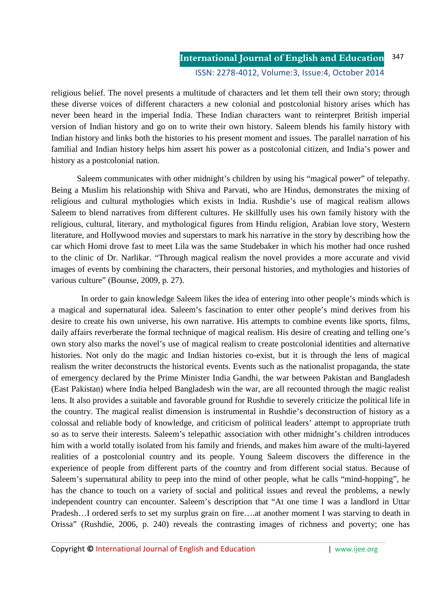religious belief. The novel presents a multitude of characters and let them tell their own story; through these diverse voices of different characters a new colonial and postcolonial history arises which has never been heard in the imperial India. These Indian characters want to reinterpret British imperial version of Indian history and go on to write their own history. Saleem blends his family history with Indian history and links both the histories to his present moment and issues. The parallel narration of his familial and Indian history helps him assert his power as a postcolonial citizen, and India's power and history as a postcolonial nation.

Saleem communicates with other midnight's children by using his "magical power" of telepathy. Being a Muslim his relationship with Shiva and Parvati, who are Hindus, demonstrates the mixing of religious and cultural mythologies which exists in India. Rushdie's use of magical realism allows Saleem to blend narratives from different cultures. He skillfully uses his own family history with the religious, cultural, literary, and mythological figures from Hindu religion, Arabian love story, Western literature, and Hollywood movies and superstars to mark his narrative in the story by describing how the car which Homi drove fast to meet Lila was the same Studebaker in which his mother had once rushed to the clinic of Dr. Narlikar. "Through magical realism the novel provides a more accurate and vivid images of events by combining the characters, their personal histories, and mythologies and histories of various culture" (Bounse, 2009, p. 27).

 In order to gain knowledge Saleem likes the idea of entering into other people's minds which is a magical and supernatural idea. Saleem's fascination to enter other people's mind derives from his desire to create his own universe, his own narrative. His attempts to combine events like sports, films, daily affairs reverberate the formal technique of magical realism. His desire of creating and telling one's own story also marks the novel's use of magical realism to create postcolonial identities and alternative histories. Not only do the magic and Indian histories co-exist, but it is through the lens of magical realism the writer deconstructs the historical events. Events such as the nationalist propaganda, the state of emergency declared by the Prime Minister India Gandhi, the war between Pakistan and Bangladesh (East Pakistan) where India helped Bangladesh win the war, are all recounted through the magic realist lens. It also provides a suitable and favorable ground for Rushdie to severely criticize the political life in the country. The magical realist dimension is instrumental in Rushdie's deconstruction of history as a colossal and reliable body of knowledge, and criticism of political leaders' attempt to appropriate truth so as to serve their interests. Saleem's telepathic association with other midnight's children introduces him with a world totally isolated from his family and friends, and makes him aware of the multi-layered realities of a postcolonial country and its people. Young Saleem discovers the difference in the experience of people from different parts of the country and from different social status. Because of Saleem's supernatural ability to peep into the mind of other people, what he calls "mind-hopping", he has the chance to touch on a variety of social and political issues and reveal the problems, a newly independent country can encounter. Saleem's description that "At one time I was a landlord in Uttar Pradesh…I ordered serfs to set my surplus grain on fire….at another moment I was starving to death in Orissa" (Rushdie, 2006, p. 240) reveals the contrasting images of richness and poverty; one has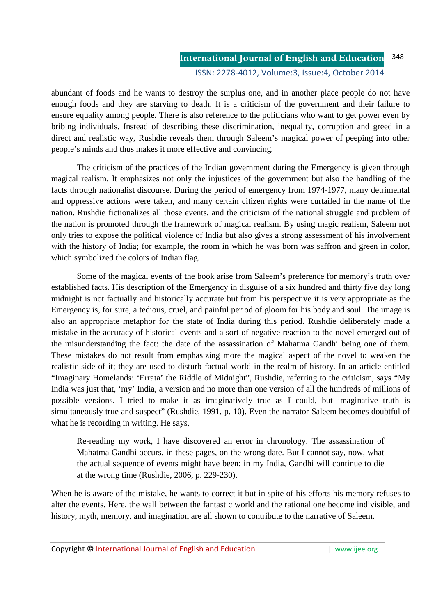### **International Journal of English and Education** ISSN: 2278-4012, Volume:3, Issue:4, October 2014 348

abundant of foods and he wants to destroy the surplus one, and in another place people do not have enough foods and they are starving to death. It is a criticism of the government and their failure to ensure equality among people. There is also reference to the politicians who want to get power even by bribing individuals. Instead of describing these discrimination, inequality, corruption and greed in a direct and realistic way, Rushdie reveals them through Saleem's magical power of peeping into other people's minds and thus makes it more effective and convincing.

 The criticism of the practices of the Indian government during the Emergency is given through magical realism. It emphasizes not only the injustices of the government but also the handling of the facts through nationalist discourse. During the period of emergency from 1974-1977, many detrimental and oppressive actions were taken, and many certain citizen rights were curtailed in the name of the nation. Rushdie fictionalizes all those events, and the criticism of the national struggle and problem of the nation is promoted through the framework of magical realism. By using magic realism, Saleem not only tries to expose the political violence of India but also gives a strong assessment of his involvement with the history of India; for example, the room in which he was born was saffron and green in color, which symbolized the colors of Indian flag.

Some of the magical events of the book arise from Saleem's preference for memory's truth over established facts. His description of the Emergency in disguise of a six hundred and thirty five day long midnight is not factually and historically accurate but from his perspective it is very appropriate as the Emergency is, for sure, a tedious, cruel, and painful period of gloom for his body and soul. The image is also an appropriate metaphor for the state of India during this period. Rushdie deliberately made a mistake in the accuracy of historical events and a sort of negative reaction to the novel emerged out of the misunderstanding the fact: the date of the assassination of Mahatma Gandhi being one of them. These mistakes do not result from emphasizing more the magical aspect of the novel to weaken the realistic side of it; they are used to disturb factual world in the realm of history. In an article entitled "Imaginary Homelands: 'Errata' the Riddle of Midnight", Rushdie, referring to the criticism, says "My India was just that, 'my' India, a version and no more than one version of all the hundreds of millions of possible versions. I tried to make it as imaginatively true as I could, but imaginative truth is simultaneously true and suspect" (Rushdie, 1991, p. 10). Even the narrator Saleem becomes doubtful of what he is recording in writing. He says,

Re-reading my work, I have discovered an error in chronology. The assassination of Mahatma Gandhi occurs, in these pages, on the wrong date. But I cannot say, now, what the actual sequence of events might have been; in my India, Gandhi will continue to die at the wrong time (Rushdie, 2006, p. 229-230).

When he is aware of the mistake, he wants to correct it but in spite of his efforts his memory refuses to alter the events. Here, the wall between the fantastic world and the rational one become indivisible, and history, myth, memory, and imagination are all shown to contribute to the narrative of Saleem.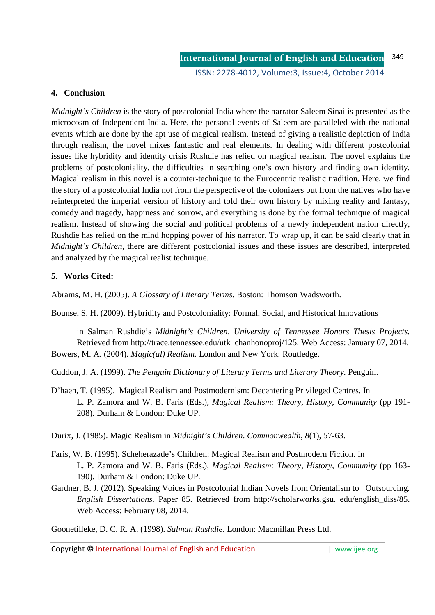## **4. Conclusion**

*Midnight's Children* is the story of postcolonial India where the narrator Saleem Sinai is presented as the microcosm of Independent India. Here, the personal events of Saleem are paralleled with the national events which are done by the apt use of magical realism. Instead of giving a realistic depiction of India through realism, the novel mixes fantastic and real elements. In dealing with different postcolonial issues like hybridity and identity crisis Rushdie has relied on magical realism. The novel explains the problems of postcoloniality, the difficulties in searching one's own history and finding own identity. Magical realism in this novel is a counter-technique to the Eurocentric realistic tradition. Here, we find the story of a postcolonial India not from the perspective of the colonizers but from the natives who have reinterpreted the imperial version of history and told their own history by mixing reality and fantasy, comedy and tragedy, happiness and sorrow, and everything is done by the formal technique of magical realism. Instead of showing the social and political problems of a newly independent nation directly, Rushdie has relied on the mind hopping power of his narrator. To wrap up, it can be said clearly that in *Midnight's Children,* there are different postcolonial issues and these issues are described, interpreted and analyzed by the magical realist technique.

## **5. Works Cited:**

Abrams, M. H. (2005). *A Glossary of Literary Terms.* Boston: Thomson Wadsworth.

Bounse, S. H. (2009). Hybridity and Postcoloniality: Formal, Social, and Historical Innovations

in Salman Rushdie's *Midnight's Children*. *University of Tennessee Honors Thesis Projects.*  Retrieved from http://trace.tennessee.edu/utk\_chanhonoproj/125. Web Access: January 07, 2014. Bowers, M. A. (2004). *Magic(al) Realism.* London and New York: Routledge.

Cuddon, J. A. (1999). *The Penguin Dictionary of Literary Terms and Literary Theory.* Penguin.

D'haen, T. (1995). Magical Realism and Postmodernism: Decentering Privileged Centres. In L. P. Zamora and W. B. Faris (Eds.), *Magical Realism: Theory, History, Community* (pp 191- 208). Durham & London: Duke UP.

Durix, J. (1985). Magic Realism in *Midnight's Children*. *Commonwealth*, *8*(1), 57-63.

- Faris, W. B. (1995). Scheherazade's Children: Magical Realism and Postmodern Fiction. In L. P. Zamora and W. B. Faris (Eds.), *Magical Realism: Theory, History, Community* (pp 163- 190). Durham & London: Duke UP.
- Gardner, B. J. (2012). Speaking Voices in Postcolonial Indian Novels from Orientalism to Outsourcing. *English Dissertations.* Paper 85. Retrieved from http://scholarworks.gsu. edu/english\_diss/85. Web Access: February 08, 2014.

Goonetilleke, D. C. R. A. (1998). *Salman Rushdie*. London: Macmillan Press Ltd.

Copyright **©** International Journal of English and Education | www.ijee.org